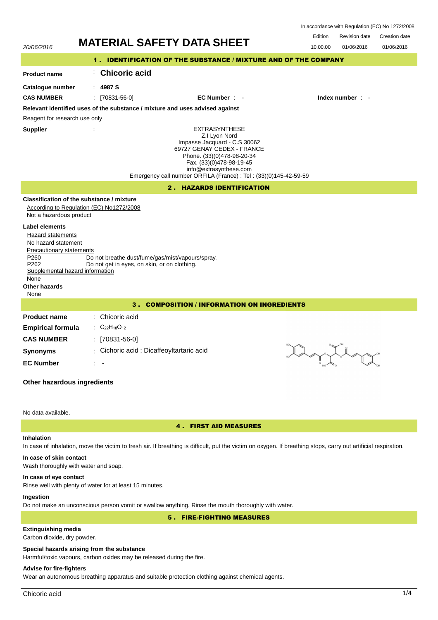| In accordance with Regulation (EC) No 1272/2008 |  |  |
|-------------------------------------------------|--|--|
|-------------------------------------------------|--|--|

Revision date Edition Revision date Creation date

| 20/06/2016                                                                                                                                                                                                   | <b>MATERIAL SAFETY DATA SHEET</b>                                                                                                                                                                                                                            | cullion<br>Revision date<br>Creation date<br>10.00.00<br>01/06/2016<br>01/06/2016 |
|--------------------------------------------------------------------------------------------------------------------------------------------------------------------------------------------------------------|--------------------------------------------------------------------------------------------------------------------------------------------------------------------------------------------------------------------------------------------------------------|-----------------------------------------------------------------------------------|
|                                                                                                                                                                                                              | 1. IDENTIFICATION OF THE SUBSTANCE / MIXTURE AND OF THE COMPANY                                                                                                                                                                                              |                                                                                   |
| <b>Product name</b>                                                                                                                                                                                          | <b>Chicoric acid</b><br>÷.                                                                                                                                                                                                                                   |                                                                                   |
| Catalogue number<br><b>CAS NUMBER</b>                                                                                                                                                                        | 4987 S<br>$\frac{1}{2}$ [70831-56-0]<br>$EC$ Number $\cdot$                                                                                                                                                                                                  | Index number : -                                                                  |
|                                                                                                                                                                                                              | Relevant identified uses of the substance / mixture and uses advised against                                                                                                                                                                                 |                                                                                   |
| Reagent for research use only                                                                                                                                                                                |                                                                                                                                                                                                                                                              |                                                                                   |
| <b>Supplier</b>                                                                                                                                                                                              | <b>EXTRASYNTHESE</b><br>Z.I Lyon Nord<br>Impasse Jacquard - C.S 30062<br>69727 GENAY CEDEX - FRANCE<br>Phone. (33)(0)478-98-20-34<br>Fax. (33)(0)478-98-19-45<br>info@extrasynthese.com<br>Emergency call number ORFILA (France) : Tel : (33)(0)145-42-59-59 |                                                                                   |
|                                                                                                                                                                                                              | 2. HAZARDS IDENTIFICATION                                                                                                                                                                                                                                    |                                                                                   |
| Not a hazardous product<br><b>Label elements</b><br>Hazard statements<br>No hazard statement<br>Precautionary statements<br>P260<br>P262<br>Supplemental hazard information<br>None<br>Other hazards<br>None | Classification of the substance / mixture<br>According to Regulation (EC) No1272/2008<br>Do not breathe dust/fume/gas/mist/vapours/spray.<br>Do not get in eyes, on skin, or on clothing.                                                                    |                                                                                   |
|                                                                                                                                                                                                              | <b>COMPOSITION / INFORMATION ON INGREDIENTS</b><br>3.                                                                                                                                                                                                        |                                                                                   |
| <b>Product name</b><br><b>Empirical formula</b><br><b>CAS NUMBER</b><br><b>Synonyms</b><br><b>EC Number</b><br>Other hazardous ingredients                                                                   | : Chicoric acid<br>: $C_{22}H_{18}O_{12}$<br>$[70831-56-0]$<br>Cichoric acid ; Dicaffeoyltartaric acid                                                                                                                                                       |                                                                                   |
| No data available.                                                                                                                                                                                           |                                                                                                                                                                                                                                                              |                                                                                   |

# 4 . FIRST AID MEASURES

# **Inhalation**

In case of inhalation, move the victim to fresh air. If breathing is difficult, put the victim on oxygen. If breathing stops, carry out artificial respiration.

# **In case of skin contact**

Wash thoroughly with water and soap.

### **In case of eye contact**

Rinse well with plenty of water for at least 15 minutes.

# **Ingestion**

Do not make an unconscious person vomit or swallow anything. Rinse the mouth thoroughly with water.

5 . FIRE-FIGHTING MEASURES

# **Extinguishing media**

Carbon dioxide, dry powder.

# **Special hazards arising from the substance**

Harmful/toxic vapours, carbon oxides may be released during the fire.

# **Advise for fire-fighters**

Wear an autonomous breathing apparatus and suitable protection clothing against chemical agents.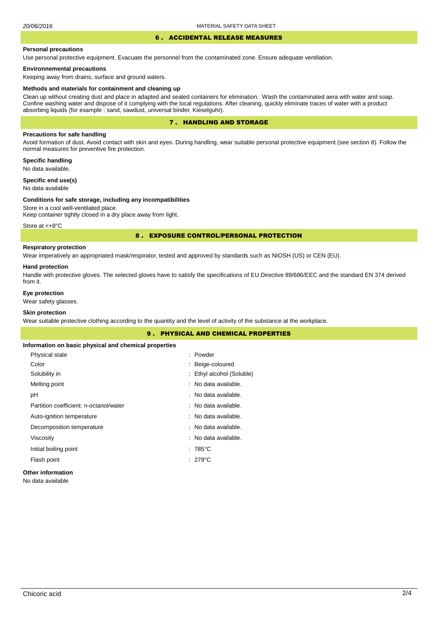# 6 . ACCIDENTAL RELEASE MEASURES

#### **Personal precautions**

Use personal protective equipment. Evacuate the personnel from the contaminated zone. Ensure adequate ventilation.

### **Environnemental precautions**

Keeping away from drains, surface and ground waters.

#### **Methods and materials for containment and cleaning up**

Clean up without creating dust and place in adapted and sealed containers for elimination. Wash the contaminated aera with water and soap. Confine washing water and dispose of it complying with the local regulations. After cleaning, quickly eliminate traces of water with a product absorbing liquids (for example : sand, sawdust, universal binder, Kieselguhr).

## 7 . HANDLING AND STORAGE

## **Precautions for safe handling**

Avoid formation of dust. Avoid contact with skin and eyes. During handling, wear suitable personal protective equipment (see section 8). Follow the normal measures for preventive fire protection.

**Specific handling** No data available.

**Specific end use(s)**

# No data available

#### **Conditions for safe storage, including any incompatibilities**

Store in a cool well-ventilated place. Keep container tightly closed in a dry place away from light.

Store at <+8°C

### 8 . EXPOSURE CONTROL/PERSONAL PROTECTION

# **Respiratory protection**

Wear imperatively an appropriated mask/respirator, tested and approved by standards such as NIOSH (US) or CEN (EU).

#### **Hand protection**

Handle with protective gloves. The selected gloves have to satisfy the specifications of EU Directive 89/686/EEC and the standard EN 374 derived from it.

## **Eye protection**

Wear safety glasses.

### **Skin protection**

Wear suitable protective clothing according to the quantity and the level of activity of the substance at the workplace.

|                                                       | <b>9. PHYSICAL AND CHEMICAL PROPERTIES</b> |  |
|-------------------------------------------------------|--------------------------------------------|--|
| Information on basic physical and chemical properties |                                            |  |
| Physical state                                        | : Powder                                   |  |
| Color                                                 | : Beige-coloured                           |  |
| Solubility in                                         | : Ethyl alcohol (Soluble)                  |  |
| Melting point                                         | : No data available.                       |  |
| рH                                                    | : No data available.                       |  |
| Partition coefficient: n-octanol/water                | : No data available.                       |  |
| Auto-ignition temperature                             | : No data available.                       |  |
| Decomposition temperature                             | : No data available.                       |  |
| Viscosity                                             | : No data available.                       |  |
| Initial boiling point                                 | $:785^{\circ}$ C                           |  |
| Flash point                                           | $: 279^{\circ}$ C                          |  |
| Other information                                     |                                            |  |

No data available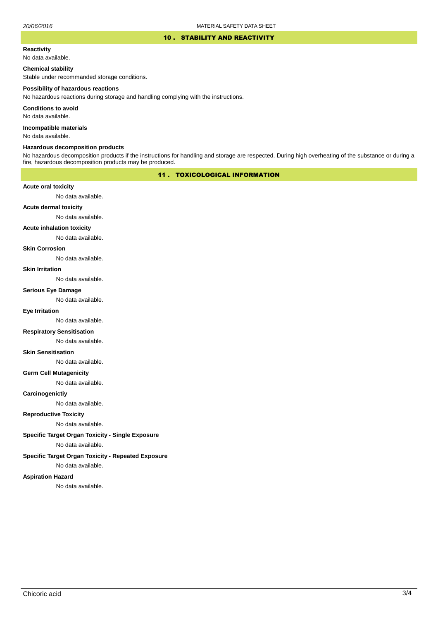### 10 . STABILITY AND REACTIVITY

#### **Reactivity**

No data available.

# **Chemical stability**

Stable under recommanded storage conditions.

#### **Possibility of hazardous reactions**

No hazardous reactions during storage and handling complying with the instructions.

**Conditions to avoid**

No data available.

**Incompatible materials**

No data available.

### **Hazardous decomposition products**

No hazardous decomposition products if the instructions for handling and storage are respected. During high overheating of the substance or during a fire, hazardous decomposition products may be produced.

# 11 . TOXICOLOGICAL INFORMATION

### **Acute oral toxicity**

No data available.

# **Acute dermal toxicity**

No data available.

#### **Acute inhalation toxicity**

No data available.

### **Skin Corrosion**

No data available.

#### **Skin Irritation**

No data available.

# **Serious Eye Damage**

No data available.

## **Eye Irritation**

No data available.

### **Respiratory Sensitisation**

No data available.

### **Skin Sensitisation**

No data available.

### **Germ Cell Mutagenicity**

No data available.

### **Carcinogenictiy**

No data available.

# **Reproductive Toxicity**

No data available.

### **Specific Target Organ Toxicity - Single Exposure**

No data available.

### **Specific Target Organ Toxicity - Repeated Exposure**

No data available.

### **Aspiration Hazard**

No data available.